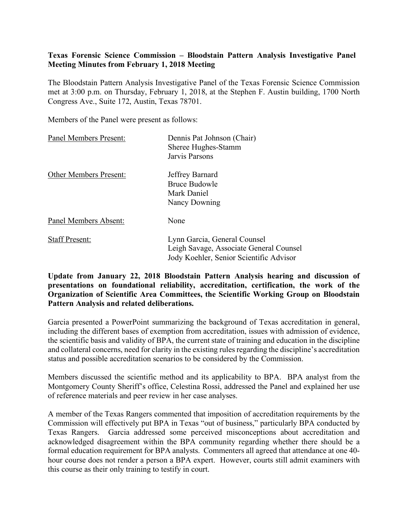### **Texas Forensic Science Commission – Bloodstain Pattern Analysis Investigative Panel Meeting Minutes from February 1, 2018 Meeting**

The Bloodstain Pattern Analysis Investigative Panel of the Texas Forensic Science Commission met at 3:00 p.m. on Thursday, February 1, 2018, at the Stephen F. Austin building, 1700 North Congress Ave., Suite 172, Austin, Texas 78701.

Members of the Panel were present as follows:

| Panel Members Present:        | Dennis Pat Johnson (Chair)<br>Sheree Hughes-Stamm<br>Jarvis Parsons                                                |
|-------------------------------|--------------------------------------------------------------------------------------------------------------------|
| <b>Other Members Present:</b> | Jeffrey Barnard<br><b>Bruce Budowle</b><br>Mark Daniel<br>Nancy Downing                                            |
| Panel Members Absent:         | None                                                                                                               |
| <b>Staff Present:</b>         | Lynn Garcia, General Counsel<br>Leigh Savage, Associate General Counsel<br>Jody Koehler, Senior Scientific Advisor |

**Update from January 22, 2018 Bloodstain Pattern Analysis hearing and discussion of presentations on foundational reliability, accreditation, certification, the work of the Organization of Scientific Area Committees, the Scientific Working Group on Bloodstain Pattern Analysis and related deliberations.**

Garcia presented a PowerPoint summarizing the background of Texas accreditation in general, including the different bases of exemption from accreditation, issues with admission of evidence, the scientific basis and validity of BPA, the current state of training and education in the discipline and collateral concerns, need for clarity in the existing rules regarding the discipline's accreditation status and possible accreditation scenarios to be considered by the Commission.

Members discussed the scientific method and its applicability to BPA. BPA analyst from the Montgomery County Sheriff's office, Celestina Rossi, addressed the Panel and explained her use of reference materials and peer review in her case analyses.

A member of the Texas Rangers commented that imposition of accreditation requirements by the Commission will effectively put BPA in Texas "out of business," particularly BPA conducted by Texas Rangers. Garcia addressed some perceived misconceptions about accreditation and acknowledged disagreement within the BPA community regarding whether there should be a formal education requirement for BPA analysts. Commenters all agreed that attendance at one 40 hour course does not render a person a BPA expert. However, courts still admit examiners with this course as their only training to testify in court.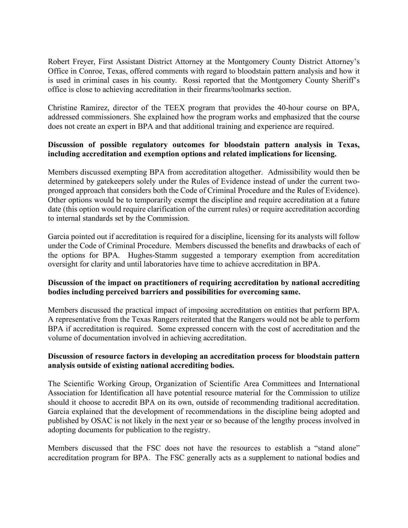Robert Freyer, First Assistant District Attorney at the Montgomery County District Attorney's Office in Conroe, Texas, offered comments with regard to bloodstain pattern analysis and how it is used in criminal cases in his county. Rossi reported that the Montgomery County Sheriff's office is close to achieving accreditation in their firearms/toolmarks section.

Christine Ramirez, director of the TEEX program that provides the 40-hour course on BPA, addressed commissioners. She explained how the program works and emphasized that the course does not create an expert in BPA and that additional training and experience are required.

# **Discussion of possible regulatory outcomes for bloodstain pattern analysis in Texas, including accreditation and exemption options and related implications for licensing.**

Members discussed exempting BPA from accreditation altogether. Admissibility would then be determined by gatekeepers solely under the Rules of Evidence instead of under the current twopronged approach that considers both the Code of Criminal Procedure and the Rules of Evidence). Other options would be to temporarily exempt the discipline and require accreditation at a future date (this option would require clarification of the current rules) or require accreditation according to internal standards set by the Commission.

Garcia pointed out if accreditation is required for a discipline, licensing for its analysts will follow under the Code of Criminal Procedure. Members discussed the benefits and drawbacks of each of the options for BPA. Hughes-Stamm suggested a temporary exemption from accreditation oversight for clarity and until laboratories have time to achieve accreditation in BPA.

# **Discussion of the impact on practitioners of requiring accreditation by national accrediting bodies including perceived barriers and possibilities for overcoming same.**

Members discussed the practical impact of imposing accreditation on entities that perform BPA. A representative from the Texas Rangers reiterated that the Rangers would not be able to perform BPA if accreditation is required. Some expressed concern with the cost of accreditation and the volume of documentation involved in achieving accreditation.

#### **Discussion of resource factors in developing an accreditation process for bloodstain pattern analysis outside of existing national accrediting bodies.**

The Scientific Working Group, Organization of Scientific Area Committees and International Association for Identification all have potential resource material for the Commission to utilize should it choose to accredit BPA on its own, outside of recommending traditional accreditation. Garcia explained that the development of recommendations in the discipline being adopted and published by OSAC is not likely in the next year or so because of the lengthy process involved in adopting documents for publication to the registry.

Members discussed that the FSC does not have the resources to establish a "stand alone" accreditation program for BPA. The FSC generally acts as a supplement to national bodies and